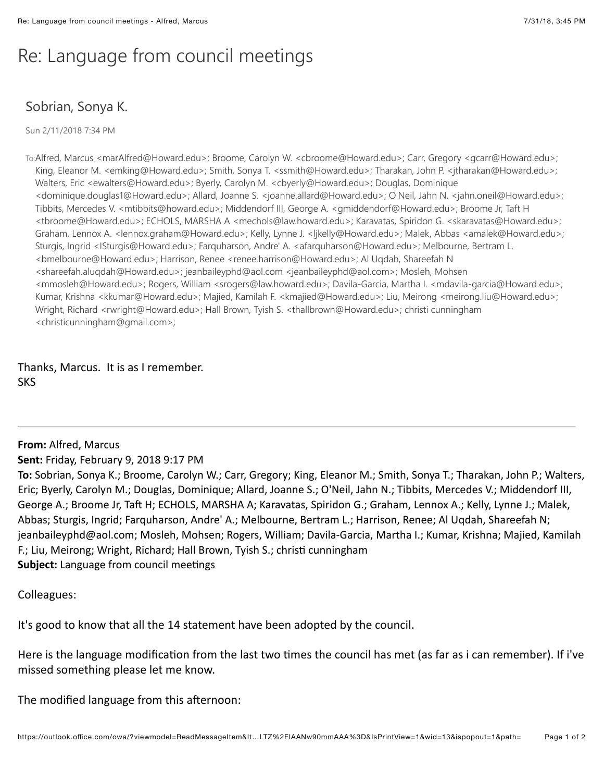## Re: Language from council meetings

## Sobrian, Sonya K.

Sun 2/11/2018 7:34 PM

To:Alfred, Marcus <marAlfred@Howard.edu>; Broome, Carolyn W. <cbroome@Howard.edu>; Carr, Gregory <gcarr@Howard.edu>; King, Eleanor M. <emking@Howard.edu>; Smith, Sonya T. <ssmith@Howard.edu>; Tharakan, John P. <jtharakan@Howard.edu>; Walters, Eric <ewalters@Howard.edu>; Byerly, Carolyn M. <cbyerly@Howard.edu>; Douglas, Dominique <dominique.douglas1@Howard.edu>; Allard, Joanne S. <joanne.allard@Howard.edu>; O'Neil, Jahn N. <jahn.oneil@Howard.edu>; Tibbits, Mercedes V. <mtibbits@howard.edu>; Middendorf III, George A. <gmiddendorf@Howard.edu>; Broome Jr, Taft H <tbroome@Howard.edu>; ECHOLS, MARSHA A <mechols@law.howard.edu>; Karavatas, Spiridon G. <skaravatas@Howard.edu>; Graham, Lennox A. <lennox.graham@Howard.edu>; Kelly, Lynne J. <ljkelly@Howard.edu>; Malek, Abbas <amalek@Howard.edu>; Sturgis, Ingrid <ISturgis@Howard.edu>; Farquharson, Andre' A. <afarquharson@Howard.edu>; Melbourne, Bertram L. <bmelbourne@Howard.edu>; Harrison, Renee <renee.harrison@Howard.edu>; Al Uqdah, Shareefah N <shareefah.aluqdah@Howard.edu>; jeanbaileyphd@aol.com <jeanbaileyphd@aol.com>; Mosleh, Mohsen <mmosleh@Howard.edu>; Rogers, William <srogers@law.howard.edu>; Davila-Garcia, Martha I. <mdavila-garcia@Howard.edu>; Kumar, Krishna <kkumar@Howard.edu>; Majied, Kamilah F. <kmajied@Howard.edu>; Liu, Meirong <meirong.liu@Howard.edu>; Wright, Richard <rwright@Howard.edu>; Hall Brown, Tyish S. <thallbrown@Howard.edu>; christi cunningham <christicunningham@gmail.com>;

Thanks, Marcus. It is as I remember. SKS

**From: Alfred, Marcus** 

**Sent:** Friday, February 9, 2018 9:17 PM

To: Sobrian, Sonya K.; Broome, Carolyn W.; Carr, Gregory; King, Eleanor M.; Smith, Sonya T.; Tharakan, John P.; Walters, Eric; Byerly, Carolyn M.; Douglas, Dominique; Allard, Joanne S.; O'Neil, Jahn N.; Tibbits, Mercedes V.; Middendorf III, George A.; Broome Jr, Taft H; ECHOLS, MARSHA A; Karavatas, Spiridon G.; Graham, Lennox A.; Kelly, Lynne J.; Malek, Abbas; Sturgis, Ingrid; Farquharson, Andre' A.; Melbourne, Bertram L.; Harrison, Renee; Al Uqdah, Shareefah N; jeanbaileyphd@aol.com; Mosleh, Mohsen; Rogers, William; Davila-Garcia, Martha I.; Kumar, Krishna; Majied, Kamilah F.; Liu, Meirong; Wright, Richard; Hall Brown, Tyish S.; christi cunningham Subject: Language from council meetings

Colleagues:

It's good to know that all the 14 statement have been adopted by the council.

Here is the language modification from the last two times the council has met (as far as i can remember). If i've missed something please let me know.

The modified language from this afternoon: